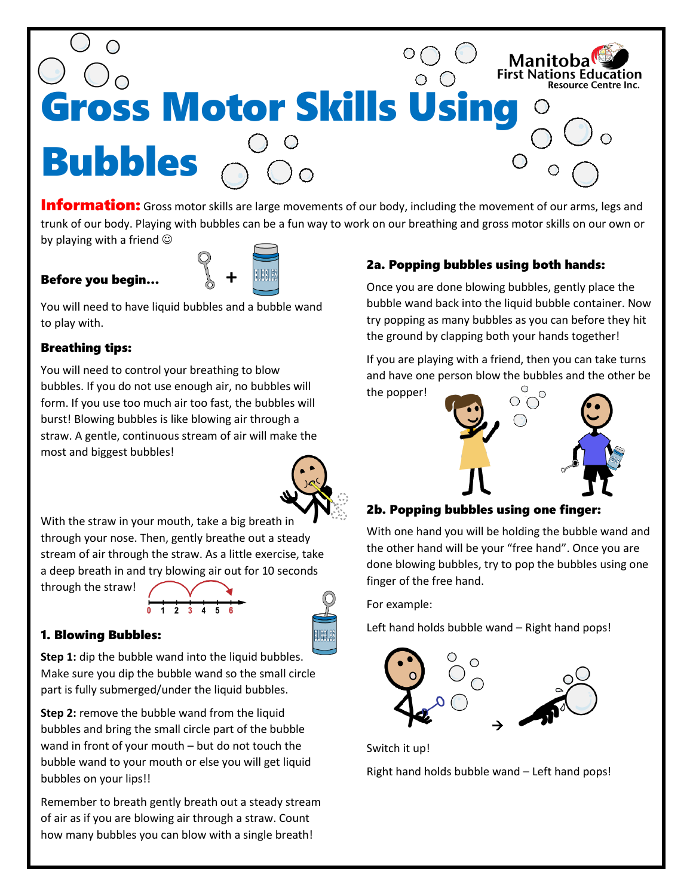

**Information:** Gross motor skills are large movements of our body, including the movement of our arms, legs and trunk of our body. Playing with bubbles can be a fun way to work on our breathing and gross motor skills on our own or by playing with a friend  $\odot$ 

## Before you begin… **+**



You will need to have liquid bubbles and a bubble wand to play with.

### Breathing tips:

You will need to control your breathing to blow bubbles. If you do not use enough air, no bubbles will form. If you use too much air too fast, the bubbles will burst! Blowing bubbles is like blowing air through a straw. A gentle, continuous stream of air will make the most and biggest bubbles!



With the straw in your mouth, take a big breath in through your nose. Then, gently breathe out a steady stream of air through the straw. As a little exercise, take a deep breath in and try blowing air out for 10 seconds

through the straw!



### 1. Blowing Bubbles:

**Step 1:** dip the bubble wand into the liquid bubbles. Make sure you dip the bubble wand so the small circle part is fully submerged/under the liquid bubbles.

**Step 2:** remove the bubble wand from the liquid bubbles and bring the small circle part of the bubble wand in front of your mouth – but do not touch the bubble wand to your mouth or else you will get liquid bubbles on your lips!!

Remember to breath gently breath out a steady stream of air as if you are blowing air through a straw. Count how many bubbles you can blow with a single breath!

## 2a. Popping bubbles using both hands:

Once you are done blowing bubbles, gently place the bubble wand back into the liquid bubble container. Now try popping as many bubbles as you can before they hit the ground by clapping both your hands together!

If you are playing with a friend, then you can take turns and have one person blow the bubbles and the other be the popper!



### 2b. Popping bubbles using one finger:

With one hand you will be holding the bubble wand and the other hand will be your "free hand". Once you are done blowing bubbles, try to pop the bubbles using one finger of the free hand.

For example:

Left hand holds bubble wand – Right hand pops!



Switch it up!

Right hand holds bubble wand – Left hand pops!